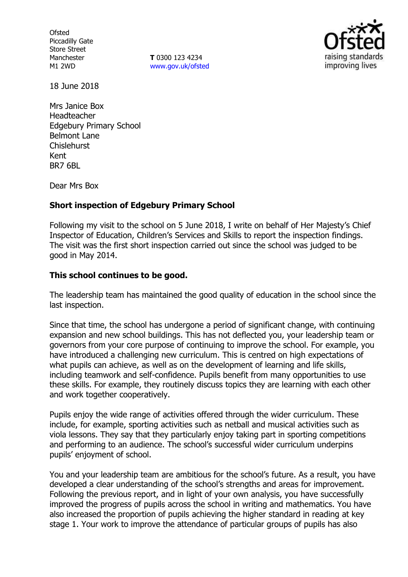**Ofsted** Piccadilly Gate Store Street Manchester M1 2WD

**T** 0300 123 4234 www.gov.uk/ofsted



18 June 2018

Mrs Janice Box Headteacher Edgebury Primary School Belmont Lane Chislehurst Kent BR7 6BL

Dear Mrs Box

#### **Short inspection of Edgebury Primary School**

Following my visit to the school on 5 June 2018, I write on behalf of Her Majesty's Chief Inspector of Education, Children's Services and Skills to report the inspection findings. The visit was the first short inspection carried out since the school was judged to be good in May 2014.

### **This school continues to be good.**

The leadership team has maintained the good quality of education in the school since the last inspection.

Since that time, the school has undergone a period of significant change, with continuing expansion and new school buildings. This has not deflected you, your leadership team or governors from your core purpose of continuing to improve the school. For example, you have introduced a challenging new curriculum. This is centred on high expectations of what pupils can achieve, as well as on the development of learning and life skills, including teamwork and self-confidence. Pupils benefit from many opportunities to use these skills. For example, they routinely discuss topics they are learning with each other and work together cooperatively.

Pupils enjoy the wide range of activities offered through the wider curriculum. These include, for example, sporting activities such as netball and musical activities such as viola lessons. They say that they particularly enjoy taking part in sporting competitions and performing to an audience. The school's successful wider curriculum underpins pupils' enjoyment of school.

You and your leadership team are ambitious for the school's future. As a result, you have developed a clear understanding of the school's strengths and areas for improvement. Following the previous report, and in light of your own analysis, you have successfully improved the progress of pupils across the school in writing and mathematics. You have also increased the proportion of pupils achieving the higher standard in reading at key stage 1. Your work to improve the attendance of particular groups of pupils has also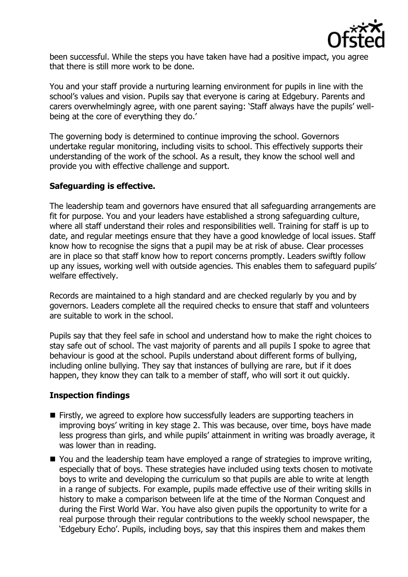

been successful. While the steps you have taken have had a positive impact, you agree that there is still more work to be done.

You and your staff provide a nurturing learning environment for pupils in line with the school's values and vision. Pupils say that everyone is caring at Edgebury. Parents and carers overwhelmingly agree, with one parent saying: 'Staff always have the pupils' wellbeing at the core of everything they do.'

The governing body is determined to continue improving the school. Governors undertake regular monitoring, including visits to school. This effectively supports their understanding of the work of the school. As a result, they know the school well and provide you with effective challenge and support.

### **Safeguarding is effective.**

The leadership team and governors have ensured that all safeguarding arrangements are fit for purpose. You and your leaders have established a strong safeguarding culture, where all staff understand their roles and responsibilities well. Training for staff is up to date, and regular meetings ensure that they have a good knowledge of local issues. Staff know how to recognise the signs that a pupil may be at risk of abuse. Clear processes are in place so that staff know how to report concerns promptly. Leaders swiftly follow up any issues, working well with outside agencies. This enables them to safeguard pupils' welfare effectively.

Records are maintained to a high standard and are checked regularly by you and by governors. Leaders complete all the required checks to ensure that staff and volunteers are suitable to work in the school.

Pupils say that they feel safe in school and understand how to make the right choices to stay safe out of school. The vast majority of parents and all pupils I spoke to agree that behaviour is good at the school. Pupils understand about different forms of bullying, including online bullying. They say that instances of bullying are rare, but if it does happen, they know they can talk to a member of staff, who will sort it out quickly.

## **Inspection findings**

- **Firstly, we agreed to explore how successfully leaders are supporting teachers in** improving boys' writing in key stage 2. This was because, over time, boys have made less progress than girls, and while pupils' attainment in writing was broadly average, it was lower than in reading.
- You and the leadership team have employed a range of strategies to improve writing, especially that of boys. These strategies have included using texts chosen to motivate boys to write and developing the curriculum so that pupils are able to write at length in a range of subjects. For example, pupils made effective use of their writing skills in history to make a comparison between life at the time of the Norman Conquest and during the First World War. You have also given pupils the opportunity to write for a real purpose through their regular contributions to the weekly school newspaper, the 'Edgebury Echo'. Pupils, including boys, say that this inspires them and makes them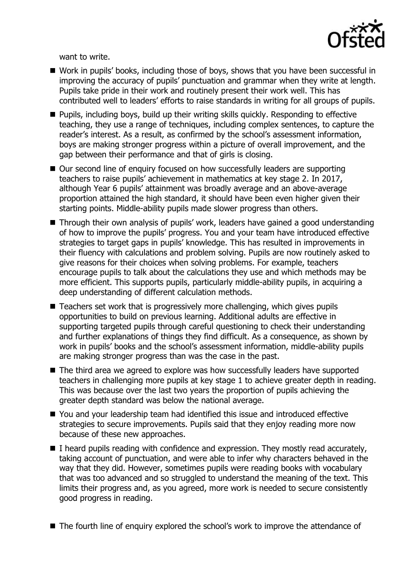

want to write.

- Work in pupils' books, including those of boys, shows that you have been successful in improving the accuracy of pupils' punctuation and grammar when they write at length. Pupils take pride in their work and routinely present their work well. This has contributed well to leaders' efforts to raise standards in writing for all groups of pupils.
- Pupils, including boys, build up their writing skills quickly. Responding to effective teaching, they use a range of techniques, including complex sentences, to capture the reader's interest. As a result, as confirmed by the school's assessment information, boys are making stronger progress within a picture of overall improvement, and the gap between their performance and that of girls is closing.
- Our second line of enquiry focused on how successfully leaders are supporting teachers to raise pupils' achievement in mathematics at key stage 2. In 2017, although Year 6 pupils' attainment was broadly average and an above-average proportion attained the high standard, it should have been even higher given their starting points. Middle-ability pupils made slower progress than others.
- Through their own analysis of pupils' work, leaders have gained a good understanding of how to improve the pupils' progress. You and your team have introduced effective strategies to target gaps in pupils' knowledge. This has resulted in improvements in their fluency with calculations and problem solving. Pupils are now routinely asked to give reasons for their choices when solving problems. For example, teachers encourage pupils to talk about the calculations they use and which methods may be more efficient. This supports pupils, particularly middle-ability pupils, in acquiring a deep understanding of different calculation methods.
- Teachers set work that is progressively more challenging, which gives pupils opportunities to build on previous learning. Additional adults are effective in supporting targeted pupils through careful questioning to check their understanding and further explanations of things they find difficult. As a consequence, as shown by work in pupils' books and the school's assessment information, middle-ability pupils are making stronger progress than was the case in the past.
- The third area we agreed to explore was how successfully leaders have supported teachers in challenging more pupils at key stage 1 to achieve greater depth in reading. This was because over the last two years the proportion of pupils achieving the greater depth standard was below the national average.
- You and your leadership team had identified this issue and introduced effective strategies to secure improvements. Pupils said that they enjoy reading more now because of these new approaches.
- $\blacksquare$  I heard pupils reading with confidence and expression. They mostly read accurately, taking account of punctuation, and were able to infer why characters behaved in the way that they did. However, sometimes pupils were reading books with vocabulary that was too advanced and so struggled to understand the meaning of the text. This limits their progress and, as you agreed, more work is needed to secure consistently good progress in reading.
- The fourth line of enquiry explored the school's work to improve the attendance of